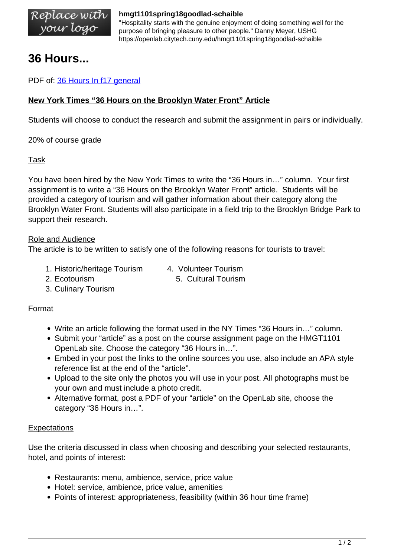"Hospitality starts with the genuine enjoyment of doing something well for the purpose of bringing pleasure to other people." Danny Meyer, USHG https://openlab.citytech.cuny.edu/hmgt1101spring18goodlad-schaible

# **36 Hours...**

PDF of: [36 Hours In f17 general](https://openlab.citytech.cuny.edu/hmgt1101spring18goodlad-schaible/files/2011/06/36-Hours-In-f17-general.pdf)

### **New York Times "36 Hours on the Brooklyn Water Front" Article**

Students will choose to conduct the research and submit the assignment in pairs or individually.

20% of course grade

#### Task

You have been hired by the New York Times to write the "36 Hours in…" column. Your first assignment is to write a "36 Hours on the Brooklyn Water Front" article. Students will be provided a category of tourism and will gather information about their category along the Brooklyn Water Front. Students will also participate in a field trip to the Brooklyn Bridge Park to support their research.

#### Role and Audience

The article is to be written to satisfy one of the following reasons for tourists to travel:

- 1. Historic/heritage Tourism 4. Volunteer Tourism
- 
- 2. Ecotourism 5. Cultural Tourism
- 3. Culinary Tourism

#### Format

- Write an article following the format used in the NY Times "36 Hours in…" column.
- Submit your "article" as a post on the course assignment page on the HMGT1101 OpenLab site. Choose the category "36 Hours in…".
- Embed in your post the links to the online sources you use, also include an APA style reference list at the end of the "article".
- Upload to the site only the photos you will use in your post. All photographs must be your own and must include a photo credit.
- Alternative format, post a PDF of your "article" on the OpenLab site, choose the category "36 Hours in…".

#### **Expectations**

Use the criteria discussed in class when choosing and describing your selected restaurants, hotel, and points of interest:

- Restaurants: menu, ambience, service, price value
- Hotel: service, ambience, price value, amenities
- Points of interest: appropriateness, feasibility (within 36 hour time frame)